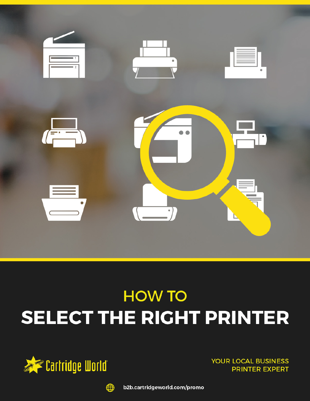

# **HOW TO** SELECT THE RIGHT PRINTER



**YOUR LOCAL BUSINESS PRINTER EXPERT** 



b2b.cartridgeworld.com/promo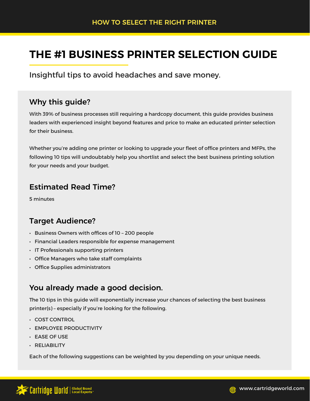# **THE #1 BUSINESS PRINTER SELECTION GUIDE**

Insightful tips to avoid headaches and save money.

### Why this guide?

With 39% of business processes still requiring a hardcopy document, this guide provides business leaders with experienced insight beyond features and price to make an educated printer selection for their business.

Whether you're adding one printer or looking to upgrade your fleet of office printers and MFPs, the following 10 tips will undoubtably help you shortlist and select the best business printing solution for your needs and your budget.

### Estimated Read Time?

5 minutes

## Target Audience?

- Business Owners with offices of 10 200 people
- Financial Leaders responsible for expense management
- IT Professionals supporting printers
- Office Managers who take staff complaints
- Office Supplies administrators

### You already made a good decision.

The 10 tips in this guide will exponentially increase your chances of selecting the best business printer(s) – especially if you're looking for the following.

- COST CONTROL
- EMPLOYEE PRODUCTIVITY
- EASE OF USE
- RELIABILITY

Each of the following suggestions can be weighted by you depending on your unique needs.

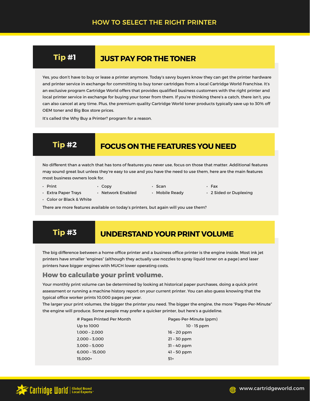## **Tip #1 JUST PAY FOR THE TONER**

Yes, you don't have to buy or lease a printer anymore. Today's savvy buyers know they can get the printer hardware and printer service in exchange for committing to buy toner cartridges from a local Cartridge World Franchise. It's an exclusive program Cartridge World offers that provides qualified business customers with the right printer and local printer service in exchange for buying your toner from them. If you're thinking there's a catch, there isn't, you can also cancel at any time. Plus, the premium quality Cartridge World toner products typically save up to 30% off OEM toner and Big Box store prices.

It's called the Why Buy a Printer? program for a reason.

# **Tip #2 FOCUS ON THE FEATURES YOU NEED**

No different than a watch that has tons of features you never use, focus on those that matter. Additional features may sound great but unless they're easy to use and you have the need to use them, here are the main features most business owners look for.

- Print Copy Scan Fax
- Extra Paper Trays Network Enabled Mobile Ready 2 Sided or Duplexing

• Color or Black & White

There are more features available on today's printers, but again will you use them?

# **Tip #3** UNDERSTAND YOUR PRINT VOLUME

The big difference between a home office printer and a business office printer is the engine inside. Most ink jet printers have smaller "engines" (although they actually use nozzles to spray liquid toner on a page) and laser printers have bigger engines with MUCH lower operating costs.

### **How to calculate your print volume.**

Your monthly print volume can be determined by looking at historical paper purchases, doing a quick print assessment or running a machine history report on your current printer. You can also guess knowing that the typical office worker prints 10,000 pages per year.

The larger your print volumes, the bigger the printer you need. The bigger the engine, the more "Pages-Per-Minute" the engine will produce. Some people may prefer a quicker printer, but here's a guideline.

| # Pages Printed Per Month | Pages-Per-Minute (ppm) |
|---------------------------|------------------------|
| Up to 1000                | $10 - 15$ ppm          |
| $1,000 - 2,000$           | $16 - 20$ ppm          |
| $2.000 - 3.000$           | $21 - 30$ ppm          |
| 3,000 - 5,000             | $31 - 40$ ppm          |
| 6,000 - 15,000            | $41 - 50$ ppm          |
| 15.000+                   | $51+$                  |

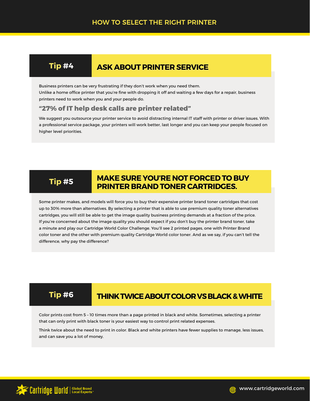# **Tip #4 ASK ABOUT PRINTER SERVICE**

Business printers can be very frustrating if they don't work when you need them. Unlike a home office printer that you're fine with dropping it off and waiting a few days for a repair, business printers need to work when you and your people do.

### **"27% of IT help desk calls are printer related"**

We suggest you outsource your printer service to avoid distracting internal IT staff with printer or driver issues. With a professional service package, your printers will work better, last longer and you can keep your people focused on higher level priorities.

### **MAKE SURE YOU'RE NOT FORCED TO BUY PRINTER BRAND TONER CARTRIDGES. Tip #5**

Some printer makes, and models will force you to buy their expensive printer brand toner cartridges that cost up to 30% more than alternatives. By selecting a printer that is able to use premium quality toner alternatives cartridges, you will still be able to get the image quality business printing demands at a fraction of the price. If you're concerned about the image quality you should expect if you don't buy the printer brand toner, take a minute and play our Cartridge World Color Challenge. You'll see 2 printed pages, one with Printer Brand color toner and the other with premium quality Cartridge World color toner. And as we say, if you can't tell the difference, why pay the difference?

# **Tip #6 THINK TWICE ABOUT COLOR VS BLACK & WHITE**

Color prints cost from 5 – 10 times more than a page printed in black and white. Sometimes, selecting a printer that can only print with black toner is your easiest way to control print related expenses.

Think twice about the need to print in color. Black and white printers have fewer supplies to manage, less issues, and can save you a lot of money.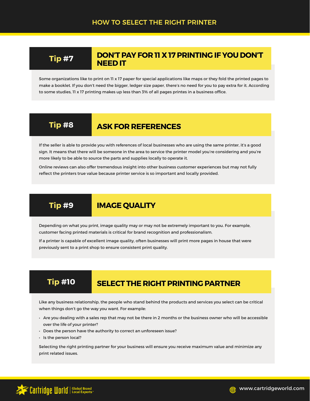### **DON'T PAY FOR 11 X 17 PRINTING IF YOU DON'T NEED IT**

Some organizations like to print on 11 x 17 paper for special applications like maps or they fold the printed pages to make a booklet. If you don't need the bigger, ledger size paper, there's no need for you to pay extra for it. According to some studies, 11 x 17 printing makes up less than 3% of all pages printes in a business office.

### **Tip #8 ASK FOR REFERENCES**

If the seller is able to provide you with references of local businesses who are using the same printer, it's a good sign. It means that there will be someone in the area to service the printer model you're considering and you're more likely to be able to source the parts and supplies locally to operate it.

Online reviews can also offer tremendous insight into other business customer experiences but may not fully reflect the printers true value because printer service is so important and locally provided.

### **Tip #9 IMAGE QUALITY**

Depending on what you print, image quality may or may not be extremely important to you. For example, customer facing printed materials is critical for brand recognition and professionalism.

If a printer is capable of excellent image quality, often businesses will print more pages in house that were previously sent to a print shop to ensure consistent print quality.

# **Tip #10** SELECT THE RIGHT PRINTING PARTNER

Like any business relationship, the people who stand behind the products and services you select can be critical when things don't go the way you want. For example:

- Are you dealing with a sales rep that may not be there in 2 months or the business owner who will be accessible over the life of your printer?
- Does the person have the authority to correct an unforeseen issue?
- Is the person local?

Selecting the right printing partner for your business will ensure you receive maximum value and minimize any print related issues.